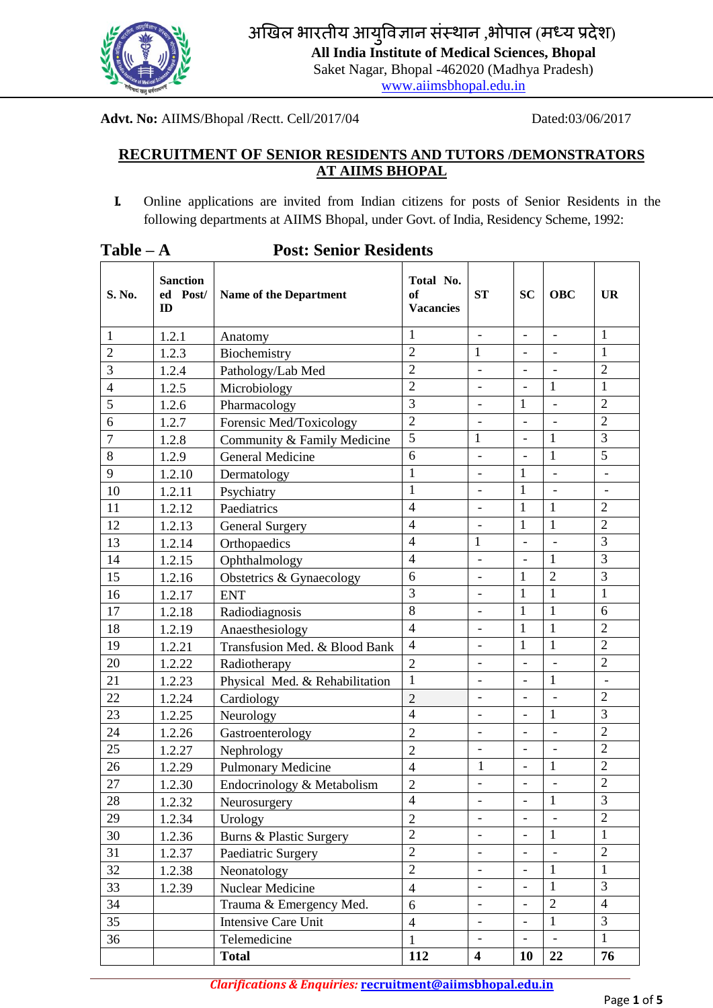

अखिल भारतीय आयुविज्ञान संस्थान ,भोपाल (मध्य प्रदेश)

**All India Institute of Medical Sciences, Bhopal**

Saket Nagar, Bhopal -462020 (Madhya Pradesh)

[www.aiimsbhopal.edu.in](http://www.aiimsbhopal.edu.in/)

**Advt. No:** AIIMS/Bhopal /Rectt. Cell/2017/04 Dated:03/06/2017

# **RECRUITMENT OF SENIOR RESIDENTS AND TUTORS /DEMONSTRATORS AT AIIMS BHOPAL**

**I.** Online applications are invited from Indian citizens for posts of Senior Residents in the following departments at AIIMS Bhopal, under Govt. of India, Residency Scheme, 1992:

| $Table - A$    | <b>Post: Senior Residents</b>     |                                |                                     |                              |                          |                              |                          |  |
|----------------|-----------------------------------|--------------------------------|-------------------------------------|------------------------------|--------------------------|------------------------------|--------------------------|--|
| S. No.         | <b>Sanction</b><br>ed Post/<br>ID | <b>Name of the Department</b>  | Total No.<br>of<br><b>Vacancies</b> | <b>ST</b>                    | <b>SC</b>                | <b>OBC</b>                   | <b>UR</b>                |  |
| $\mathbf{1}$   | 1.2.1                             | Anatomy                        | 1                                   | $\frac{1}{2}$                |                          | $\overline{a}$               | $\mathbf{1}$             |  |
| $\overline{2}$ | 1.2.3                             | Biochemistry                   | $\overline{2}$                      | $\mathbf{1}$                 | $\overline{\phantom{0}}$ |                              | $\mathbf{1}$             |  |
| $\overline{3}$ | 1.2.4                             | Pathology/Lab Med              | $\overline{2}$                      | $\frac{1}{2}$                | $\overline{\phantom{0}}$ | $\overline{a}$               | $\overline{2}$           |  |
| $\overline{4}$ | 1.2.5                             | Microbiology                   | $\overline{2}$                      | $\overline{\phantom{0}}$     |                          | $\mathbf{1}$                 | $\mathbf{1}$             |  |
| 5              | 1.2.6                             | Pharmacology                   | 3                                   | $\overline{a}$               | 1                        | $\overline{a}$               | $\overline{2}$           |  |
| 6              | 1.2.7                             | Forensic Med/Toxicology        | $\overline{2}$                      | $\overline{a}$               |                          |                              | $\overline{2}$           |  |
| 7              | 1.2.8                             | Community & Family Medicine    | 5                                   | $\mathbf{1}$                 | $\overline{\phantom{0}}$ | $\mathbf{1}$                 | 3                        |  |
| 8              | 1.2.9                             | <b>General Medicine</b>        | 6                                   | $\frac{1}{2}$                | $\overline{a}$           | $\mathbf{1}$                 | $\overline{5}$           |  |
| 9              | 1.2.10                            | Dermatology                    | 1                                   | $\overline{\phantom{0}}$     | 1                        | $\overline{a}$               | $\overline{a}$           |  |
| 10             | 1.2.11                            | Psychiatry                     | $\mathbf{1}$                        | $\overline{a}$               | $\mathbf{1}$             | $\overline{a}$               | $\overline{\phantom{a}}$ |  |
| 11             | 1.2.12                            | Paediatrics                    | $\overline{4}$                      | $\overline{a}$               | $\mathbf{1}$             | $\mathbf{1}$                 | $\overline{2}$           |  |
| 12             | 1.2.13                            | <b>General Surgery</b>         | $\overline{4}$                      | $\overline{\phantom{0}}$     | $\mathbf{1}$             | $\mathbf{1}$                 | $\overline{2}$           |  |
| 13             | 1.2.14                            | Orthopaedics                   | $\overline{4}$                      | 1                            | $\overline{a}$           | $\overline{a}$               | 3                        |  |
| 14             | 1.2.15                            | Ophthalmology                  | $\overline{4}$                      | $\overline{\phantom{0}}$     |                          | $\mathbf{1}$                 | 3                        |  |
| 15             | 1.2.16                            | Obstetrics & Gynaecology       | 6                                   | $\frac{1}{2}$                | 1                        | $\overline{2}$               | 3                        |  |
| 16             | 1.2.17                            | <b>ENT</b>                     | $\overline{3}$                      | $\overline{a}$               | $\mathbf{1}$             | $\mathbf{1}$                 | $\mathbf{1}$             |  |
| 17             | 1.2.18                            | Radiodiagnosis                 | 8                                   | $\overline{\phantom{0}}$     | 1                        | $\mathbf{1}$                 | 6                        |  |
| 18             | 1.2.19                            | Anaesthesiology                | $\overline{4}$                      | $\overline{\phantom{a}}$     | $\mathbf{1}$             | $\mathbf{1}$                 | $\overline{2}$           |  |
| 19             | 1.2.21                            | Transfusion Med. & Blood Bank  | $\overline{4}$                      | $\overline{a}$               | 1                        | $\mathbf{1}$                 | $\overline{2}$           |  |
| 20             | 1.2.22                            | Radiotherapy                   | $\overline{2}$                      | $\frac{1}{2}$                | $\overline{\phantom{a}}$ | $\overline{a}$               | $\overline{2}$           |  |
| 21             | 1.2.23                            | Physical Med. & Rehabilitation | $\mathbf{1}$                        |                              |                          | $\mathbf{1}$                 | $\overline{a}$           |  |
| 22             | 1.2.24                            | Cardiology                     | $\overline{2}$                      | $\qquad \qquad \blacksquare$ | $\overline{\phantom{0}}$ | $\overline{\phantom{a}}$     | $\overline{2}$           |  |
| 23             | 1.2.25                            | Neurology                      | $\overline{4}$                      | $\overline{\phantom{a}}$     | $\blacksquare$           | $\mathbf{1}$                 | 3                        |  |
| 24             | 1.2.26                            | Gastroenterology               | $\overline{2}$                      | $\overline{a}$               |                          |                              | $\overline{2}$           |  |
| 25             | 1.2.27                            | Nephrology                     | $\overline{2}$                      | $\overline{a}$               | $\overline{\phantom{a}}$ | $\blacksquare$               | $\overline{2}$           |  |
| 26             | 1.2.29                            | <b>Pulmonary Medicine</b>      | $\overline{4}$                      | $\mathbf{1}$                 | $\overline{\phantom{a}}$ | $\mathbf{1}$                 | $\overline{2}$           |  |
| 27             | 1.2.30                            | Endocrinology & Metabolism     | 2                                   | $\overline{\phantom{0}}$     | $\overline{\phantom{a}}$ | $\qquad \qquad \blacksquare$ | $\mathbf{2}$             |  |
| 28             | 1.2.32                            | Neurosurgery                   | $\overline{4}$                      | $\overline{\phantom{a}}$     | $\equiv$                 | $\mathbf{1}$                 | $\overline{3}$           |  |
| 29             | 1.2.34                            | Urology                        | $\overline{2}$                      | $\overline{\phantom{0}}$     |                          |                              | $\sqrt{2}$               |  |
| 30             | 1.2.36                            | Burns & Plastic Surgery        | $\overline{2}$                      | $\overline{\phantom{a}}$     | $\overline{\phantom{a}}$ | $\mathbf{1}$                 | $\mathbf{1}$             |  |
| 31             | 1.2.37                            | Paediatric Surgery             | $\overline{2}$                      | $\blacksquare$               |                          |                              | $\overline{2}$           |  |
| 32             | 1.2.38                            | Neonatology                    | $\overline{2}$                      | $\overline{\phantom{a}}$     | $\overline{\phantom{0}}$ | $\mathbf{1}$                 | $\mathbf{1}$             |  |
| 33             | 1.2.39                            | Nuclear Medicine               | $\overline{4}$                      | $\overline{\phantom{a}}$     | $\overline{\phantom{0}}$ | $\mathbf{1}$                 | 3                        |  |
| 34             |                                   | Trauma & Emergency Med.        | 6                                   | $\overline{\phantom{a}}$     | $\overline{\phantom{0}}$ | $\sqrt{2}$                   | $\overline{4}$           |  |
| 35             |                                   | Intensive Care Unit            | $\overline{4}$                      | $\blacksquare$               | $\overline{\phantom{a}}$ | $\mathbf{1}$                 | $\mathfrak{Z}$           |  |
| 36             |                                   | Telemedicine                   | $\mathbf{1}$                        |                              |                          | $\overline{a}$               | $\mathbf{1}$             |  |
|                |                                   | <b>Total</b>                   | 112                                 | $\overline{\mathbf{4}}$      | <b>10</b>                | 22                           | 76                       |  |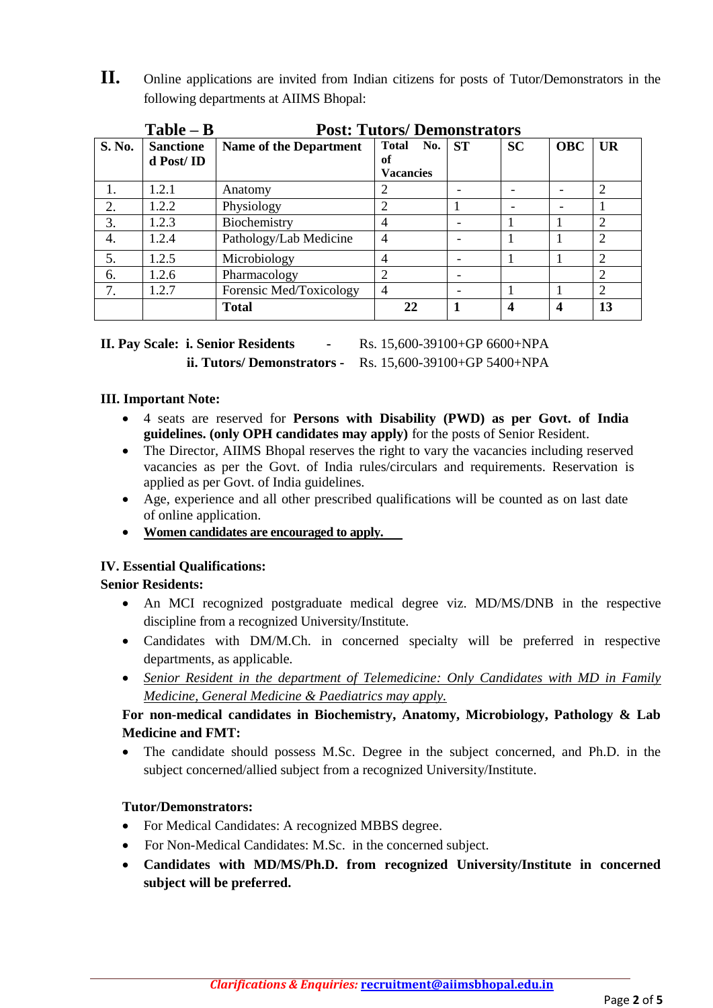**II.** Online applications are invited from Indian citizens for posts of Tutor/Demonstrators in the following departments at AIIMS Bhopal:

| $Table - B$ |                               | <b>Post: Tutors/Demonstrators</b> |                                               |           |           |            |                             |  |  |  |
|-------------|-------------------------------|-----------------------------------|-----------------------------------------------|-----------|-----------|------------|-----------------------------|--|--|--|
| S. No.      | <b>Sanctione</b><br>d Post/ID | <b>Name of the Department</b>     | <b>Total</b><br>No.<br>оf<br><b>Vacancies</b> | <b>ST</b> | <b>SC</b> | <b>OBC</b> | UR                          |  |  |  |
|             | 1.2.1                         | Anatomy                           |                                               |           |           |            | 2                           |  |  |  |
| 2.          | 1.2.2                         | Physiology                        | 2                                             |           |           |            |                             |  |  |  |
| 3.          | 1.2.3                         | Biochemistry                      | 4                                             |           |           |            | 2                           |  |  |  |
| 4.          | 1.2.4                         | Pathology/Lab Medicine            | $\overline{4}$                                |           |           |            | $\mathcal{D}_{\mathcal{A}}$ |  |  |  |
| 5.          | 1.2.5                         | Microbiology                      | 4                                             |           |           |            | 2                           |  |  |  |
| 6.          | 1.2.6                         | Pharmacology                      | $\overline{c}$                                |           |           |            |                             |  |  |  |
| 7.          | 1.2.7                         | Forensic Med/Toxicology           | 4                                             |           |           |            |                             |  |  |  |
|             |                               | <b>Total</b>                      | 22                                            |           | 4         | 4          | 13                          |  |  |  |

# **II. Pay Scale: i. Senior Residents -** Rs. 15,600-39100+GP 6600+NPA **ii. Tutors/ Demonstrators -** Rs. 15,600-39100+GP 5400+NPA

#### **III. Important Note:**

- 4 seats are reserved for **Persons with Disability (PWD) as per Govt. of India guidelines. (only OPH candidates may apply)** for the posts of Senior Resident.
- The Director, AIIMS Bhopal reserves the right to vary the vacancies including reserved vacancies as per the Govt. of India rules/circulars and requirements. Reservation is applied as per Govt. of India guidelines.
- Age, experience and all other prescribed qualifications will be counted as on last date of online application.
- **Women candidates are encouraged to apply.**

#### **IV. Essential Qualifications:**

#### **Senior Residents:**

- An MCI recognized postgraduate medical degree viz. MD/MS/DNB in the respective discipline from a recognized University/Institute.
- Candidates with DM/M.Ch. in concerned specialty will be preferred in respective departments, as applicable.
- *Senior Resident in the department of Telemedicine: Only Candidates with MD in Family Medicine, General Medicine & Paediatrics may apply.*

# **For non-medical candidates in Biochemistry, Anatomy, Microbiology, Pathology & Lab Medicine and FMT:**

 The candidate should possess M.Sc. Degree in the subject concerned, and Ph.D. in the subject concerned/allied subject from a recognized University/Institute.

## **Tutor/Demonstrators:**

- For Medical Candidates: A recognized MBBS degree.
- For Non-Medical Candidates: M.Sc. in the concerned subject.
- **Candidates with MD/MS/Ph.D. from recognized University/Institute in concerned subject will be preferred.**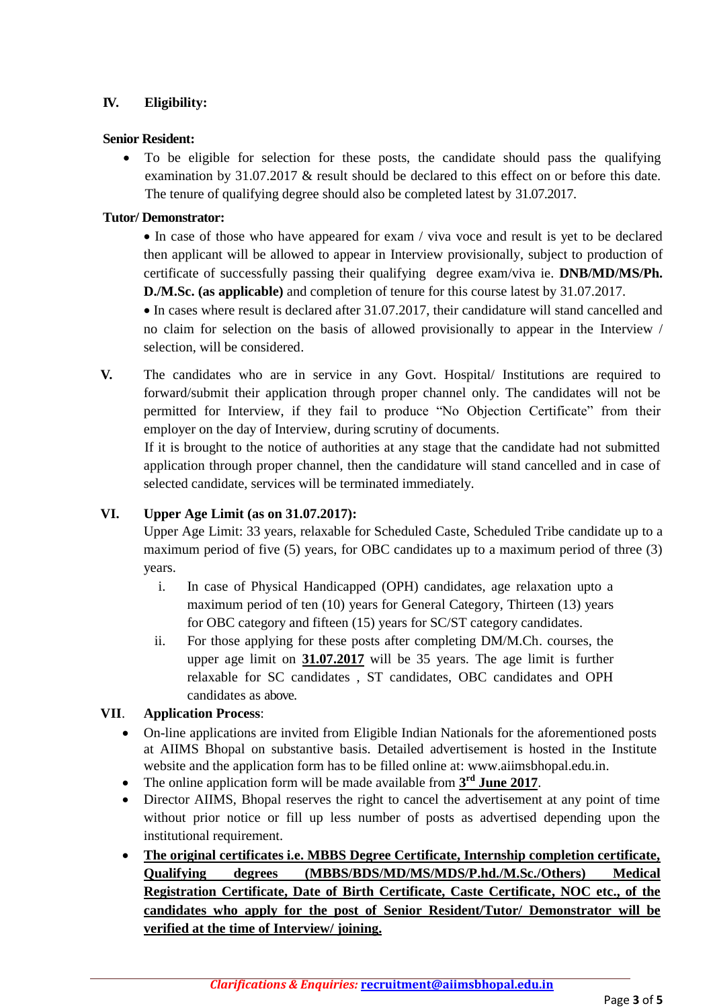# **IV. Eligibility:**

#### **Senior Resident:**

• To be eligible for selection for these posts, the candidate should pass the qualifying examination by 31.07.2017 & result should be declared to this effect on or before this date. The tenure of qualifying degree should also be completed latest by 31.07.2017.

#### **Tutor/ Demonstrator:**

• In case of those who have appeared for exam / viva voce and result is yet to be declared then applicant will be allowed to appear in Interview provisionally, subject to production of certificate of successfully passing their qualifying degree exam/viva ie. **DNB/MD/MS/Ph. D./M.Sc. (as applicable)** and completion of tenure for this course latest by 31.07.2017.

 In cases where result is declared after 31.07.2017, their candidature will stand cancelled and no claim for selection on the basis of allowed provisionally to appear in the Interview / selection, will be considered.

**V.** The candidates who are in service in any Govt. Hospital/ Institutions are required to forward/submit their application through proper channel only. The candidates will not be permitted for Interview, if they fail to produce "No Objection Certificate" from their employer on the day of Interview, during scrutiny of documents.

If it is brought to the notice of authorities at any stage that the candidate had not submitted application through proper channel, then the candidature will stand cancelled and in case of selected candidate, services will be terminated immediately.

## **VI. Upper Age Limit (as on 31.07.2017):**

Upper Age Limit: 33 years, relaxable for Scheduled Caste, Scheduled Tribe candidate up to a maximum period of five (5) years, for OBC candidates up to a maximum period of three (3) years.

- i. In case of Physical Handicapped (OPH) candidates, age relaxation upto a maximum period of ten (10) years for General Category, Thirteen (13) years for OBC category and fifteen (15) years for SC/ST category candidates.
- ii. For those applying for these posts after completing DM/M.Ch. courses, the upper age limit on **31.07.2017** will be 35 years. The age limit is further relaxable for SC candidates , ST candidates, OBC candidates and OPH candidates as above.

## **VII**. **Application Process**:

- On-line applications are invited from Eligible Indian Nationals for the aforementioned posts at AIIMS Bhopal on substantive basis. Detailed advertisement is hosted in the Institute website and the application form has to be filled online at: [www.aiimsbhopal.edu.in.](http://www.aiimsbhopal.edu.in/)
- The online application form will be made available from  $3<sup>rd</sup>$  **June** 2017.
- Director AIIMS, Bhopal reserves the right to cancel the advertisement at any point of time without prior notice or fill up less number of posts as advertised depending upon the institutional requirement.
- **The original certificates i.e. MBBS Degree Certificate, Internship completion certificate, Qualifying degrees (MBBS/BDS/MD/MS/MDS/P.hd./M.Sc./Others) Medical Registration Certificate, Date of Birth Certificate, Caste Certificate, NOC etc., of the candidates who apply for the post of Senior Resident/Tutor/ Demonstrator will be verified at the time of Interview/ joining.**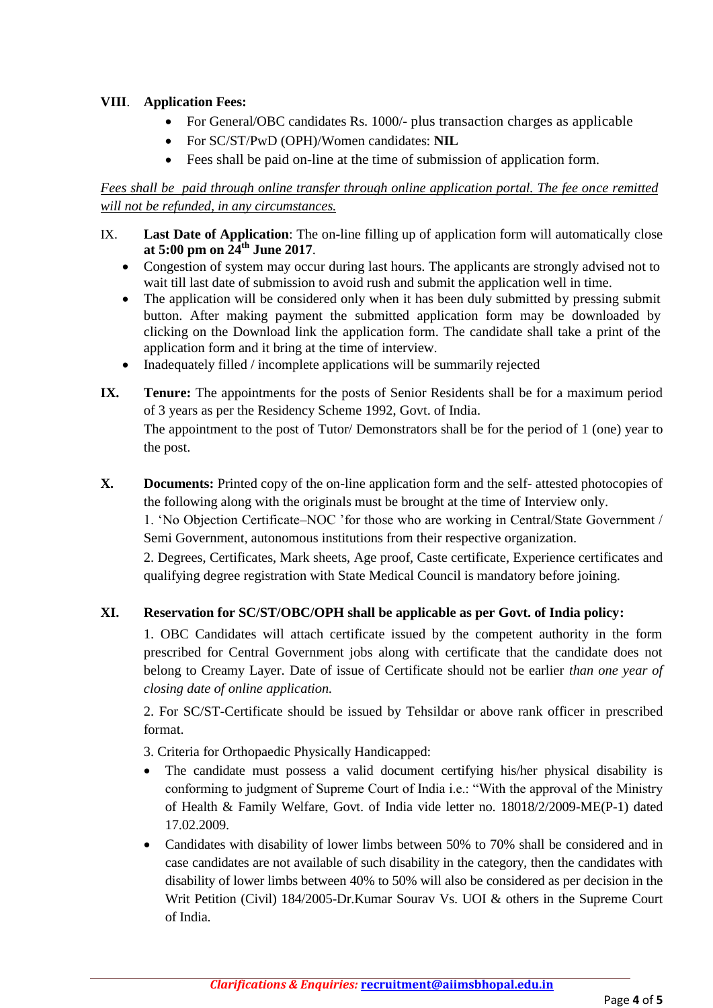# **VIII**. **Application Fees:**

- For General/OBC candidates Rs. 1000/- plus transaction charges as applicable
- For SC/ST/PwD (OPH)/Women candidates: **NIL**
- Fees shall be paid on-line at the time of submission of application form.

# *Fees shall be paid through online transfer through online application portal. The fee once remitted will not be refunded, in any circumstances.*

- IX. **Last Date of Application**: The on-line filling up of application form will automatically close **at 5:00 pm on 24th June 2017**.
	- Congestion of system may occur during last hours. The applicants are strongly advised not to wait till last date of submission to avoid rush and submit the application well in time.
	- The application will be considered only when it has been duly submitted by pressing submit button. After making payment the submitted application form may be downloaded by clicking on the Download link the application form. The candidate shall take a print of the application form and it bring at the time of interview.
	- Inadequately filled / incomplete applications will be summarily rejected
- **IX.** Tenure: The appointments for the posts of Senior Residents shall be for a maximum period of 3 years as per the Residency Scheme 1992, Govt. of India. The appointment to the post of Tutor/ Demonstrators shall be for the period of 1 (one) year to the post.
- **X. Documents:** Printed copy of the on-line application form and the self- attested photocopies of the following along with the originals must be brought at the time of Interview only.

1. 'No Objection Certificate–NOC 'for those who are working in Central/State Government / Semi Government, autonomous institutions from their respective organization.

2. Degrees, Certificates, Mark sheets, Age proof, Caste certificate, Experience certificates and qualifying degree registration with State Medical Council is mandatory before joining.

## **XI. Reservation for SC/ST/OBC/OPH shall be applicable as per Govt. of India policy:**

1. OBC Candidates will attach certificate issued by the competent authority in the form prescribed for Central Government jobs along with certificate that the candidate does not belong to Creamy Layer. Date of issue of Certificate should not be earlier *than one year of closing date of online application.* 

2. For SC/ST-Certificate should be issued by Tehsildar or above rank officer in prescribed format.

3. Criteria for Orthopaedic Physically Handicapped:

- The candidate must possess a valid document certifying his/her physical disability is conforming to judgment of Supreme Court of India i.e.: "With the approval of the Ministry of Health & Family Welfare, Govt. of India vide letter no. 18018/2/2009-ME(P-1) dated 17.02.2009.
- Candidates with disability of lower limbs between 50% to 70% shall be considered and in case candidates are not available of such disability in the category, then the candidates with disability of lower limbs between 40% to 50% will also be considered as per decision in the Writ Petition (Civil) 184/2005-Dr.Kumar Sourav Vs. UOI & others in the Supreme Court of India.